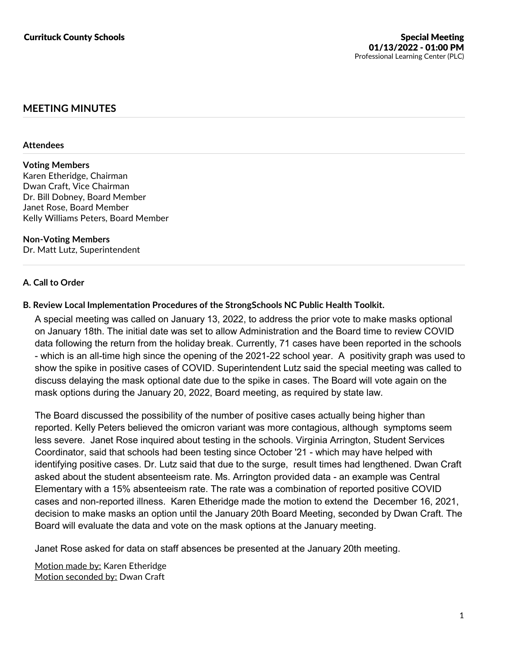# **MEETING MINUTES**

### **Attendees**

# **Voting Members**

Karen Etheridge, Chairman Dwan Craft, Vice Chairman Dr. Bill Dobney, Board Member Janet Rose, Board Member Kelly Williams Peters, Board Member

#### **Non-Voting Members** Dr. Matt Lutz, Superintendent

# **A. Call to Order**

# **B. Review Local Implementation Procedures of the StrongSchools NC Public Health Toolkit.**

A special meeting was called on January 13, 2022, to address the prior vote to make masks optional on January 18th. The initial date was set to allow Administration and the Board time to review COVID data following the return from the holiday break. Currently, 71 cases have been reported in the schools - which is an all-time high since the opening of the 2021-22 school year. A positivity graph was used to show the spike in positive cases of COVID. Superintendent Lutz said the special meeting was called to discuss delaying the mask optional date due to the spike in cases. The Board will vote again on the mask options during the January 20, 2022, Board meeting, as required by state law.

The Board discussed the possibility of the number of positive cases actually being higher than reported. Kelly Peters believed the omicron variant was more contagious, although symptoms seem less severe. Janet Rose inquired about testing in the schools. Virginia Arrington, Student Services Coordinator, said that schools had been testing since October '21 - which may have helped with identifying positive cases. Dr. Lutz said that due to the surge, result times had lengthened. Dwan Craft asked about the student absenteeism rate. Ms. Arrington provided data - an example was Central Elementary with a 15% absenteeism rate. The rate was a combination of reported positive COVID cases and non-reported illness. Karen Etheridge made the motion to extend the December 16, 2021, decision to make masks an option until the January 20th Board Meeting, seconded by Dwan Craft. The Board will evaluate the data and vote on the mask options at the January meeting.

Janet Rose asked for data on staff absences be presented at the January 20th meeting.

Motion made by: Karen Etheridge Motion seconded by: Dwan Craft